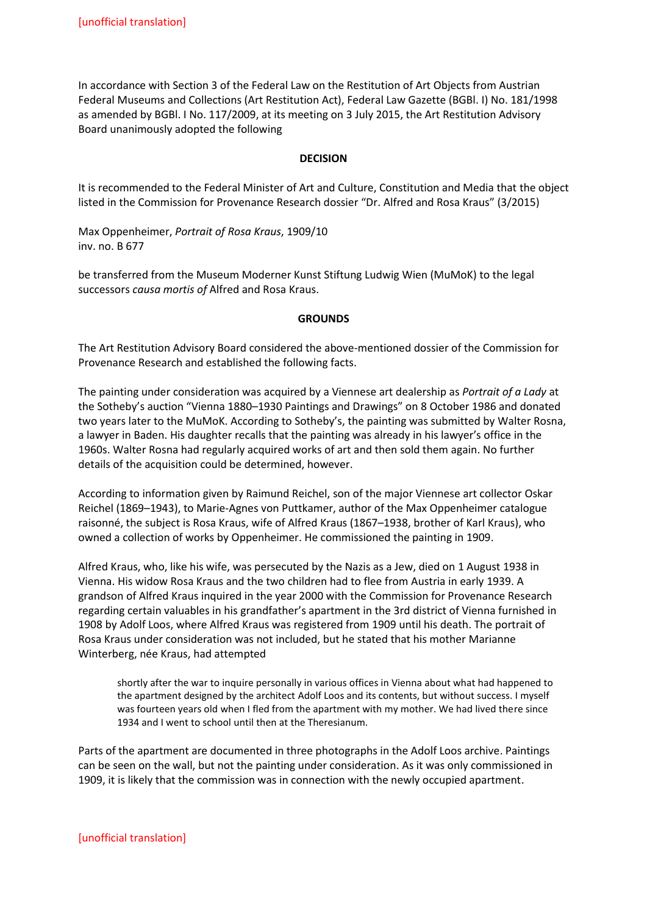In accordance with Section 3 of the Federal Law on the Restitution of Art Objects from Austrian Federal Museums and Collections (Art Restitution Act), Federal Law Gazette (BGBl. I) No. 181/1998 as amended by BGBl. I No. 117/2009, at its meeting on 3 July 2015, the Art Restitution Advisory Board unanimously adopted the following

## **DECISION**

It is recommended to the Federal Minister of Art and Culture, Constitution and Media that the object listed in the Commission for Provenance Research dossier "Dr. Alfred and Rosa Kraus" (3/2015)

Max Oppenheimer, *Portrait of Rosa Kraus*, 1909/10 inv. no. B 677

be transferred from the Museum Moderner Kunst Stiftung Ludwig Wien (MuMoK) to the legal successors *causa mortis of* Alfred and Rosa Kraus.

## **GROUNDS**

The Art Restitution Advisory Board considered the above-mentioned dossier of the Commission for Provenance Research and established the following facts.

The painting under consideration was acquired by a Viennese art dealership as *Portrait of a Lady* at the Sotheby's auction "Vienna 1880–1930 Paintings and Drawings" on 8 October 1986 and donated two years later to the MuMoK. According to Sotheby's, the painting was submitted by Walter Rosna, a lawyer in Baden. His daughter recalls that the painting was already in his lawyer's office in the 1960s. Walter Rosna had regularly acquired works of art and then sold them again. No further details of the acquisition could be determined, however.

According to information given by Raimund Reichel, son of the major Viennese art collector Oskar Reichel (1869–1943), to Marie-Agnes von Puttkamer, author of the Max Oppenheimer catalogue raisonné, the subject is Rosa Kraus, wife of Alfred Kraus (1867–1938, brother of Karl Kraus), who owned a collection of works by Oppenheimer. He commissioned the painting in 1909.

Alfred Kraus, who, like his wife, was persecuted by the Nazis as a Jew, died on 1 August 1938 in Vienna. His widow Rosa Kraus and the two children had to flee from Austria in early 1939. A grandson of Alfred Kraus inquired in the year 2000 with the Commission for Provenance Research regarding certain valuables in his grandfather's apartment in the 3rd district of Vienna furnished in 1908 by Adolf Loos, where Alfred Kraus was registered from 1909 until his death. The portrait of Rosa Kraus under consideration was not included, but he stated that his mother Marianne Winterberg, née Kraus, had attempted

shortly after the war to inquire personally in various offices in Vienna about what had happened to the apartment designed by the architect Adolf Loos and its contents, but without success. I myself was fourteen years old when I fled from the apartment with my mother. We had lived there since 1934 and I went to school until then at the Theresianum.

Parts of the apartment are documented in three photographs in the Adolf Loos archive. Paintings can be seen on the wall, but not the painting under consideration. As it was only commissioned in 1909, it is likely that the commission was in connection with the newly occupied apartment.